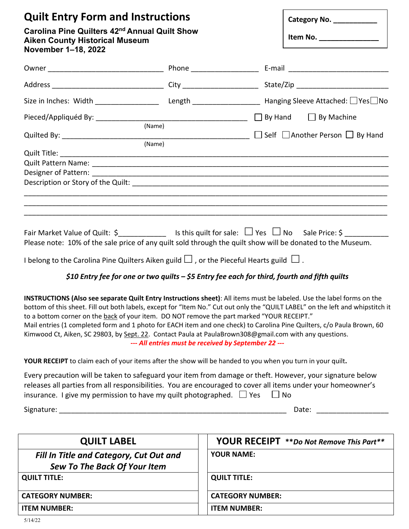| <b>Quilt Entry Form and Instructions</b><br>Carolina Pine Quilters 42 <sup>nd</sup> Annual Quilt Show<br><b>Aiken County Historical Museum</b><br>November 1-18, 2022                                                                                                                                                                                                                                                                                                                                                                                                                                                                                                                      |  |                                                      | Category No. _____________                                                                                                                                                                                                     |  |
|--------------------------------------------------------------------------------------------------------------------------------------------------------------------------------------------------------------------------------------------------------------------------------------------------------------------------------------------------------------------------------------------------------------------------------------------------------------------------------------------------------------------------------------------------------------------------------------------------------------------------------------------------------------------------------------------|--|------------------------------------------------------|--------------------------------------------------------------------------------------------------------------------------------------------------------------------------------------------------------------------------------|--|
|                                                                                                                                                                                                                                                                                                                                                                                                                                                                                                                                                                                                                                                                                            |  |                                                      |                                                                                                                                                                                                                                |  |
|                                                                                                                                                                                                                                                                                                                                                                                                                                                                                                                                                                                                                                                                                            |  |                                                      |                                                                                                                                                                                                                                |  |
|                                                                                                                                                                                                                                                                                                                                                                                                                                                                                                                                                                                                                                                                                            |  |                                                      |                                                                                                                                                                                                                                |  |
|                                                                                                                                                                                                                                                                                                                                                                                                                                                                                                                                                                                                                                                                                            |  |                                                      |                                                                                                                                                                                                                                |  |
| (Name)                                                                                                                                                                                                                                                                                                                                                                                                                                                                                                                                                                                                                                                                                     |  |                                                      |                                                                                                                                                                                                                                |  |
|                                                                                                                                                                                                                                                                                                                                                                                                                                                                                                                                                                                                                                                                                            |  |                                                      |                                                                                                                                                                                                                                |  |
| Fair Market Value of Quilt: $\zeta$ _______________ Is this quilt for sale: $\Box$ Yes $\Box$ No Sale Price: $\zeta$ __________<br>Please note: 10% of the sale price of any quilt sold through the quilt show will be donated to the Museum.<br>I belong to the Carolina Pine Quilters Aiken guild $\Box$ , or the Pieceful Hearts guild $\Box$ .                                                                                                                                                                                                                                                                                                                                         |  |                                                      |                                                                                                                                                                                                                                |  |
| \$10 Entry fee for one or two quilts - \$5 Entry fee each for third, fourth and fifth quilts<br>INSTRUCTIONS (Also see separate Quilt Entry Instructions sheet): All items must be labeled. Use the label forms on the<br>bottom of this sheet. Fill out both labels, except for "Item No." Cut out only the "QUILT LABEL" on the left and whipstitch it<br>to a bottom corner on the back of your item. DO NOT remove the part marked "YOUR RECEIPT."<br>Mail entries (1 completed form and 1 photo for EACH item and one check) to Carolina Pine Quilters, c/o Paula Brown, 60<br>Kimwood Ct, Aiken, SC 29803, by Sept. 22. Contact Paula at PaulaBrown308@gmail.com with any questions. |  | --- All entries must be received by September 22 --- |                                                                                                                                                                                                                                |  |
| YOUR RECEIPT to claim each of your items after the show will be handed to you when you turn in your quilt.                                                                                                                                                                                                                                                                                                                                                                                                                                                                                                                                                                                 |  |                                                      |                                                                                                                                                                                                                                |  |
| Every precaution will be taken to safeguard your item from damage or theft. However, your signature below<br>releases all parties from all responsibilities. You are encouraged to cover all items under your homeowner's<br>insurance. I give my permission to have my quilt photographed. $\Box$ Yes                                                                                                                                                                                                                                                                                                                                                                                     |  | $\Box$ No                                            |                                                                                                                                                                                                                                |  |
|                                                                                                                                                                                                                                                                                                                                                                                                                                                                                                                                                                                                                                                                                            |  |                                                      | Date: the control of the control of the control of the control of the control of the control of the control of the control of the control of the control of the control of the control of the control of the control of the co |  |
| <b>QUILT LABEL</b>                                                                                                                                                                                                                                                                                                                                                                                                                                                                                                                                                                                                                                                                         |  |                                                      | <b>YOUR RECEIPT</b> **Do Not Remove This Part**                                                                                                                                                                                |  |
| Fill In Title and Category, Cut Out and<br><b>Sew To The Back Of Your Item</b>                                                                                                                                                                                                                                                                                                                                                                                                                                                                                                                                                                                                             |  | <b>YOUR NAME:</b>                                    |                                                                                                                                                                                                                                |  |
| <b>QUILT TITLE:</b>                                                                                                                                                                                                                                                                                                                                                                                                                                                                                                                                                                                                                                                                        |  | <b>QUILT TITLE:</b>                                  |                                                                                                                                                                                                                                |  |

| <b>CATEGORY NUMBER:</b> | <b>CATEGORY NUMBER:</b> |
|-------------------------|-------------------------|
|                         |                         |

**ITEM NUMBER: ITEM NUMBER:**